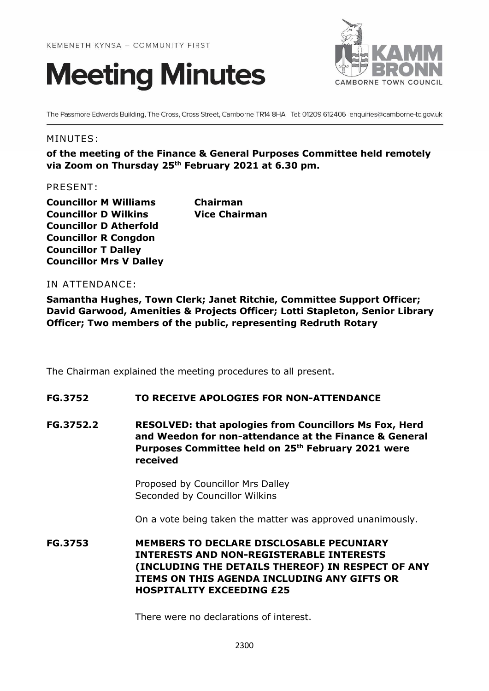



The Passmore Edwards Building, The Cross, Cross Street, Camborne TR14 8HA Tel: 01209 612406 enquiries@camborne-tc.gov.uk

### MINUTES:

**of the meeting of the Finance & General Purposes Committee held remotely via Zoom on Thursday 25th February 2021 at 6.30 pm.**

PRESENT:

**Councillor M Williams Chairman Councillor D Wilkins Vice Chairman Councillor D Atherfold Councillor R Congdon Councillor T Dalley Councillor Mrs V Dalley**

## IN ATTENDANCE:

**Samantha Hughes, Town Clerk; Janet Ritchie, Committee Support Officer; David Garwood, Amenities & Projects Officer; Lotti Stapleton, Senior Library Officer; Two members of the public, representing Redruth Rotary**

The Chairman explained the meeting procedures to all present.

### **FG.3752 TO RECEIVE APOLOGIES FOR NON-ATTENDANCE**

**FG.3752.2 RESOLVED: that apologies from Councillors Ms Fox, Herd and Weedon for non-attendance at the Finance & General Purposes Committee held on 25th February 2021 were received** 

> Proposed by Councillor Mrs Dalley Seconded by Councillor Wilkins

On a vote being taken the matter was approved unanimously.

**FG.3753 MEMBERS TO DECLARE DISCLOSABLE PECUNIARY INTERESTS AND NON-REGISTERABLE INTERESTS (INCLUDING THE DETAILS THEREOF) IN RESPECT OF ANY ITEMS ON THIS AGENDA INCLUDING ANY GIFTS OR HOSPITALITY EXCEEDING £25**

There were no declarations of interest.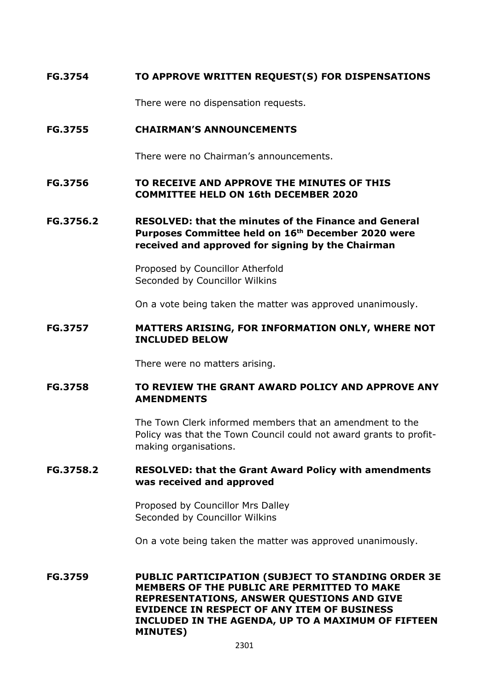# **FG.3754 TO APPROVE WRITTEN REQUEST(S) FOR DISPENSATIONS**

There were no dispensation requests.

## **FG.3755 CHAIRMAN'S ANNOUNCEMENTS**

There were no Chairman's announcements.

## **FG.3756 TO RECEIVE AND APPROVE THE MINUTES OF THIS COMMITTEE HELD ON 16th DECEMBER 2020**

# **FG.3756.2 RESOLVED: that the minutes of the Finance and General Purposes Committee held on 16 th December 2020 were received and approved for signing by the Chairman**

Proposed by Councillor Atherfold Seconded by Councillor Wilkins

On a vote being taken the matter was approved unanimously.

# **FG.3757 MATTERS ARISING, FOR INFORMATION ONLY, WHERE NOT INCLUDED BELOW**

There were no matters arising.

## **FG.3758 TO REVIEW THE GRANT AWARD POLICY AND APPROVE ANY AMENDMENTS**

The Town Clerk informed members that an amendment to the Policy was that the Town Council could not award grants to profitmaking organisations.

# **FG.3758.2 RESOLVED: that the Grant Award Policy with amendments was received and approved**

Proposed by Councillor Mrs Dalley Seconded by Councillor Wilkins

On a vote being taken the matter was approved unanimously.

**FG.3759 PUBLIC PARTICIPATION (SUBJECT TO STANDING ORDER 3E MEMBERS OF THE PUBLIC ARE PERMITTED TO MAKE REPRESENTATIONS, ANSWER QUESTIONS AND GIVE EVIDENCE IN RESPECT OF ANY ITEM OF BUSINESS INCLUDED IN THE AGENDA, UP TO A MAXIMUM OF FIFTEEN MINUTES)**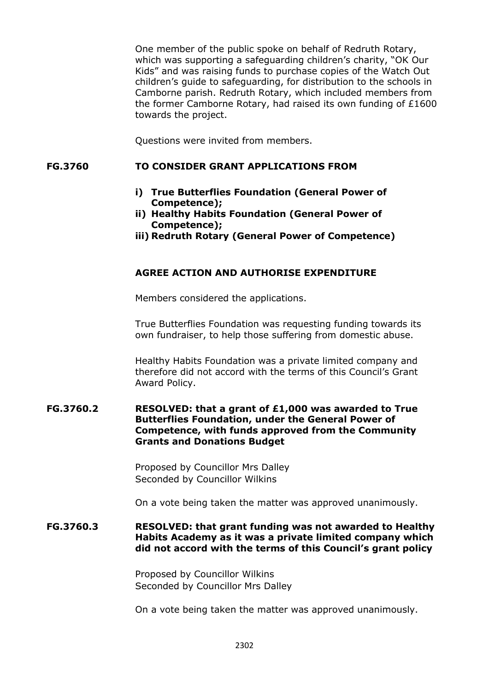One member of the public spoke on behalf of Redruth Rotary, which was supporting a safeguarding children's charity, "OK Our Kids" and was raising funds to purchase copies of the Watch Out children's guide to safeguarding, for distribution to the schools in Camborne parish. Redruth Rotary, which included members from the former Camborne Rotary, had raised its own funding of £1600 towards the project.

Questions were invited from members.

### **FG.3760 TO CONSIDER GRANT APPLICATIONS FROM**

- **i) True Butterflies Foundation (General Power of Competence);**
- **ii) Healthy Habits Foundation (General Power of Competence);**
- **iii) Redruth Rotary (General Power of Competence)**

## **AGREE ACTION AND AUTHORISE EXPENDITURE**

Members considered the applications.

True Butterflies Foundation was requesting funding towards its own fundraiser, to help those suffering from domestic abuse.

Healthy Habits Foundation was a private limited company and therefore did not accord with the terms of this Council's Grant Award Policy.

### **FG.3760.2 RESOLVED: that a grant of £1,000 was awarded to True Butterflies Foundation, under the General Power of Competence, with funds approved from the Community Grants and Donations Budget**

Proposed by Councillor Mrs Dalley Seconded by Councillor Wilkins

On a vote being taken the matter was approved unanimously.

## **FG.3760.3 RESOLVED: that grant funding was not awarded to Healthy Habits Academy as it was a private limited company which did not accord with the terms of this Council's grant policy**

Proposed by Councillor Wilkins Seconded by Councillor Mrs Dalley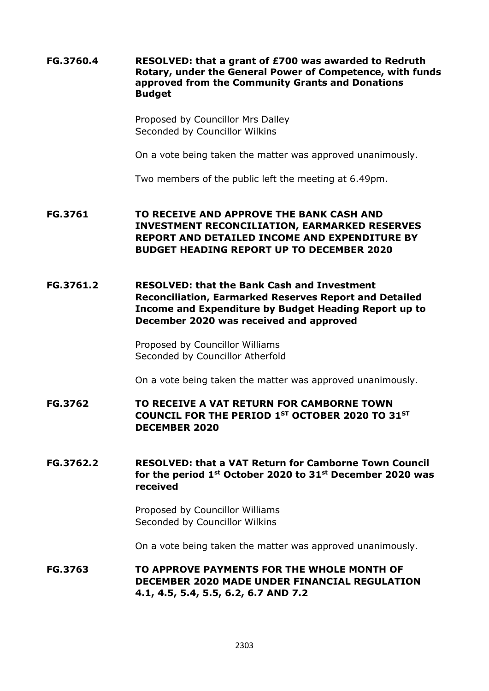**FG.3760.4 RESOLVED: that a grant of £700 was awarded to Redruth Rotary, under the General Power of Competence, with funds approved from the Community Grants and Donations Budget**

> Proposed by Councillor Mrs Dalley Seconded by Councillor Wilkins

On a vote being taken the matter was approved unanimously.

Two members of the public left the meeting at 6.49pm.

**FG.3761 TO RECEIVE AND APPROVE THE BANK CASH AND INVESTMENT RECONCILIATION, EARMARKED RESERVES REPORT AND DETAILED INCOME AND EXPENDITURE BY BUDGET HEADING REPORT UP TO DECEMBER 2020**

**FG.3761.2 RESOLVED: that the Bank Cash and Investment Reconciliation, Earmarked Reserves Report and Detailed Income and Expenditure by Budget Heading Report up to December 2020 was received and approved**

> Proposed by Councillor Williams Seconded by Councillor Atherfold

On a vote being taken the matter was approved unanimously.

**FG.3762 TO RECEIVE A VAT RETURN FOR CAMBORNE TOWN COUNCIL FOR THE PERIOD 1ST OCTOBER 2020 TO 31ST DECEMBER 2020**

**FG.3762.2 RESOLVED: that a VAT Return for Camborne Town Council for the period 1st October 2020 to 31st December 2020 was received**

> Proposed by Councillor Williams Seconded by Councillor Wilkins

On a vote being taken the matter was approved unanimously.

**FG.3763 TO APPROVE PAYMENTS FOR THE WHOLE MONTH OF DECEMBER 2020 MADE UNDER FINANCIAL REGULATION 4.1, 4.5, 5.4, 5.5, 6.2, 6.7 AND 7.2**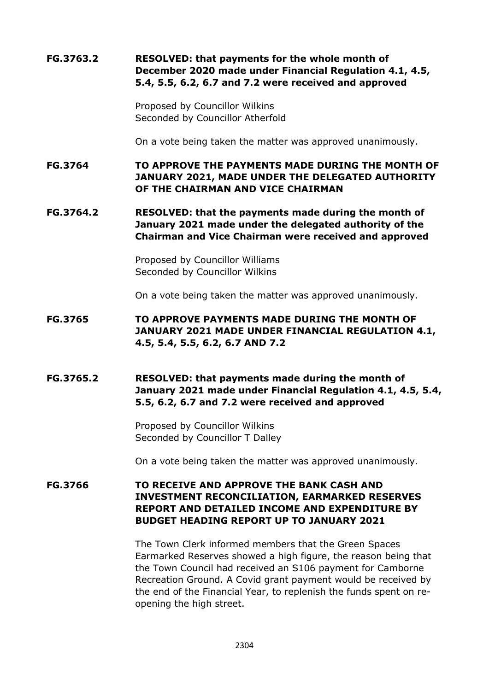# **FG.3763.2 RESOLVED: that payments for the whole month of December 2020 made under Financial Regulation 4.1, 4.5, 5.4, 5.5, 6.2, 6.7 and 7.2 were received and approved**

Proposed by Councillor Wilkins Seconded by Councillor Atherfold

On a vote being taken the matter was approved unanimously.

**FG.3764 TO APPROVE THE PAYMENTS MADE DURING THE MONTH OF JANUARY 2021, MADE UNDER THE DELEGATED AUTHORITY OF THE CHAIRMAN AND VICE CHAIRMAN**

**FG.3764.2 RESOLVED: that the payments made during the month of January 2021 made under the delegated authority of the Chairman and Vice Chairman were received and approved**

> Proposed by Councillor Williams Seconded by Councillor Wilkins

On a vote being taken the matter was approved unanimously.

- **FG.3765 TO APPROVE PAYMENTS MADE DURING THE MONTH OF JANUARY 2021 MADE UNDER FINANCIAL REGULATION 4.1, 4.5, 5.4, 5.5, 6.2, 6.7 AND 7.2**
- **FG.3765.2 RESOLVED: that payments made during the month of January 2021 made under Financial Regulation 4.1, 4.5, 5.4, 5.5, 6.2, 6.7 and 7.2 were received and approved**

Proposed by Councillor Wilkins Seconded by Councillor T Dalley

On a vote being taken the matter was approved unanimously.

# **FG.3766 TO RECEIVE AND APPROVE THE BANK CASH AND INVESTMENT RECONCILIATION, EARMARKED RESERVES REPORT AND DETAILED INCOME AND EXPENDITURE BY BUDGET HEADING REPORT UP TO JANUARY 2021**

The Town Clerk informed members that the Green Spaces Earmarked Reserves showed a high figure, the reason being that the Town Council had received an S106 payment for Camborne Recreation Ground. A Covid grant payment would be received by the end of the Financial Year, to replenish the funds spent on reopening the high street.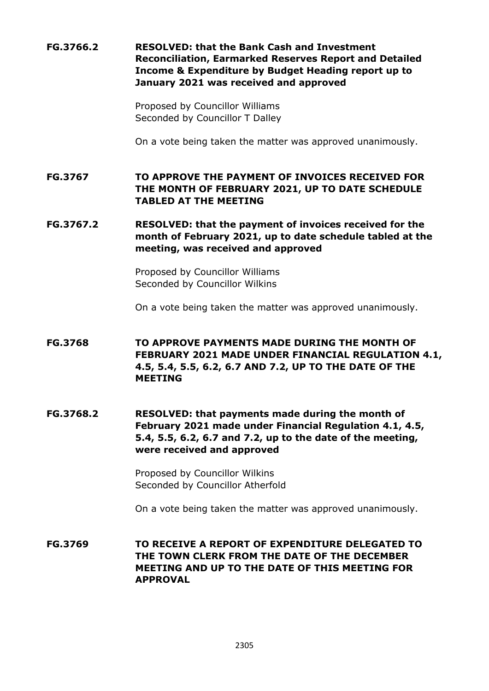**FG.3766.2 RESOLVED: that the Bank Cash and Investment Reconciliation, Earmarked Reserves Report and Detailed Income & Expenditure by Budget Heading report up to January 2021 was received and approved**

> Proposed by Councillor Williams Seconded by Councillor T Dalley

On a vote being taken the matter was approved unanimously.

**FG.3767 TO APPROVE THE PAYMENT OF INVOICES RECEIVED FOR THE MONTH OF FEBRUARY 2021, UP TO DATE SCHEDULE TABLED AT THE MEETING**

**FG.3767.2 RESOLVED: that the payment of invoices received for the month of February 2021, up to date schedule tabled at the meeting, was received and approved**

> Proposed by Councillor Williams Seconded by Councillor Wilkins

On a vote being taken the matter was approved unanimously.

**FG.3768 TO APPROVE PAYMENTS MADE DURING THE MONTH OF FEBRUARY 2021 MADE UNDER FINANCIAL REGULATION 4.1, 4.5, 5.4, 5.5, 6.2, 6.7 AND 7.2, UP TO THE DATE OF THE MEETING**

**FG.3768.2 RESOLVED: that payments made during the month of February 2021 made under Financial Regulation 4.1, 4.5, 5.4, 5.5, 6.2, 6.7 and 7.2, up to the date of the meeting, were received and approved**

> Proposed by Councillor Wilkins Seconded by Councillor Atherfold

On a vote being taken the matter was approved unanimously.

**FG.3769 TO RECEIVE A REPORT OF EXPENDITURE DELEGATED TO THE TOWN CLERK FROM THE DATE OF THE DECEMBER MEETING AND UP TO THE DATE OF THIS MEETING FOR APPROVAL**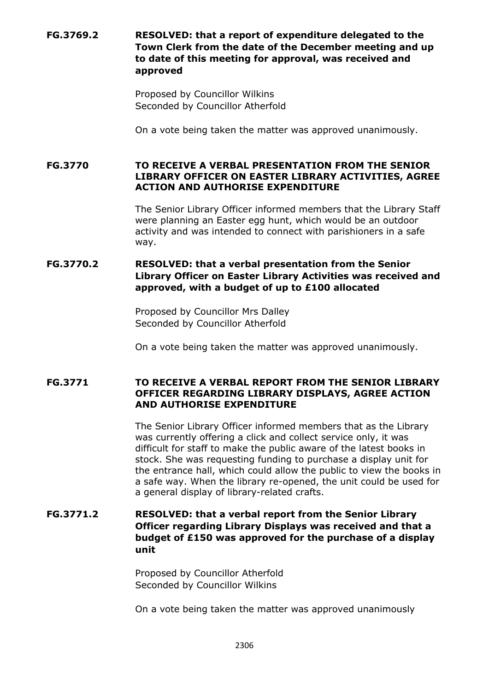# **FG.3769.2 RESOLVED: that a report of expenditure delegated to the Town Clerk from the date of the December meeting and up to date of this meeting for approval, was received and approved**

Proposed by Councillor Wilkins Seconded by Councillor Atherfold

On a vote being taken the matter was approved unanimously.

**FG.3770 TO RECEIVE A VERBAL PRESENTATION FROM THE SENIOR LIBRARY OFFICER ON EASTER LIBRARY ACTIVITIES, AGREE ACTION AND AUTHORISE EXPENDITURE**

> The Senior Library Officer informed members that the Library Staff were planning an Easter egg hunt, which would be an outdoor activity and was intended to connect with parishioners in a safe way.

# **FG.3770.2 RESOLVED: that a verbal presentation from the Senior Library Officer on Easter Library Activities was received and approved, with a budget of up to £100 allocated**

Proposed by Councillor Mrs Dalley Seconded by Councillor Atherfold

On a vote being taken the matter was approved unanimously.

## **FG.3771 TO RECEIVE A VERBAL REPORT FROM THE SENIOR LIBRARY OFFICER REGARDING LIBRARY DISPLAYS, AGREE ACTION AND AUTHORISE EXPENDITURE**

The Senior Library Officer informed members that as the Library was currently offering a click and collect service only, it was difficult for staff to make the public aware of the latest books in stock. She was requesting funding to purchase a display unit for the entrance hall, which could allow the public to view the books in a safe way. When the library re-opened, the unit could be used for a general display of library-related crafts.

# **FG.3771.2 RESOLVED: that a verbal report from the Senior Library Officer regarding Library Displays was received and that a budget of £150 was approved for the purchase of a display unit**

Proposed by Councillor Atherfold Seconded by Councillor Wilkins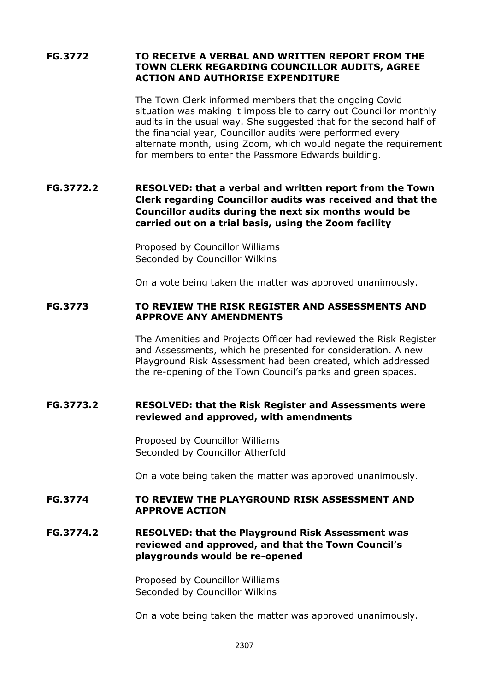### **FG.3772 TO RECEIVE A VERBAL AND WRITTEN REPORT FROM THE TOWN CLERK REGARDING COUNCILLOR AUDITS, AGREE ACTION AND AUTHORISE EXPENDITURE**

The Town Clerk informed members that the ongoing Covid situation was making it impossible to carry out Councillor monthly audits in the usual way. She suggested that for the second half of the financial year, Councillor audits were performed every alternate month, using Zoom, which would negate the requirement for members to enter the Passmore Edwards building.

# **FG.3772.2 RESOLVED: that a verbal and written report from the Town Clerk regarding Councillor audits was received and that the Councillor audits during the next six months would be carried out on a trial basis, using the Zoom facility**

Proposed by Councillor Williams Seconded by Councillor Wilkins

On a vote being taken the matter was approved unanimously.

### **FG.3773 TO REVIEW THE RISK REGISTER AND ASSESSMENTS AND APPROVE ANY AMENDMENTS**

The Amenities and Projects Officer had reviewed the Risk Register and Assessments, which he presented for consideration. A new Playground Risk Assessment had been created, which addressed the re-opening of the Town Council's parks and green spaces.

## **FG.3773.2 RESOLVED: that the Risk Register and Assessments were reviewed and approved, with amendments**

Proposed by Councillor Williams Seconded by Councillor Atherfold

On a vote being taken the matter was approved unanimously.

### **FG.3774 TO REVIEW THE PLAYGROUND RISK ASSESSMENT AND APPROVE ACTION**

# **FG.3774.2 RESOLVED: that the Playground Risk Assessment was reviewed and approved, and that the Town Council's playgrounds would be re-opened**

Proposed by Councillor Williams Seconded by Councillor Wilkins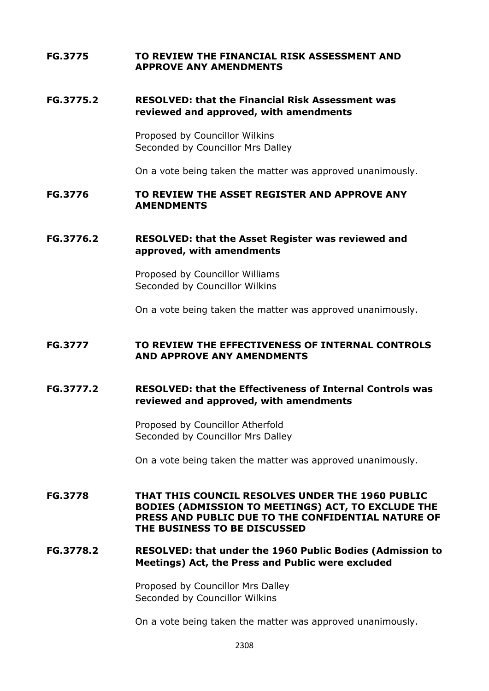### **FG.3775 TO REVIEW THE FINANCIAL RISK ASSESSMENT AND APPROVE ANY AMENDMENTS**

## **FG.3775.2 RESOLVED: that the Financial Risk Assessment was reviewed and approved, with amendments**

Proposed by Councillor Wilkins Seconded by Councillor Mrs Dalley

On a vote being taken the matter was approved unanimously.

## **FG.3776 TO REVIEW THE ASSET REGISTER AND APPROVE ANY AMENDMENTS**

# **FG.3776.2 RESOLVED: that the Asset Register was reviewed and approved, with amendments**

Proposed by Councillor Williams Seconded by Councillor Wilkins

On a vote being taken the matter was approved unanimously.

#### **FG.3777 TO REVIEW THE EFFECTIVENESS OF INTERNAL CONTROLS AND APPROVE ANY AMENDMENTS**

### **FG.3777.2 RESOLVED: that the Effectiveness of Internal Controls was reviewed and approved, with amendments**

Proposed by Councillor Atherfold Seconded by Councillor Mrs Dalley

On a vote being taken the matter was approved unanimously.

**FG.3778 THAT THIS COUNCIL RESOLVES UNDER THE 1960 PUBLIC BODIES (ADMISSION TO MEETINGS) ACT, TO EXCLUDE THE PRESS AND PUBLIC DUE TO THE CONFIDENTIAL NATURE OF THE BUSINESS TO BE DISCUSSED**

# **FG.3778.2 RESOLVED: that under the 1960 Public Bodies (Admission to Meetings) Act, the Press and Public were excluded**

Proposed by Councillor Mrs Dalley Seconded by Councillor Wilkins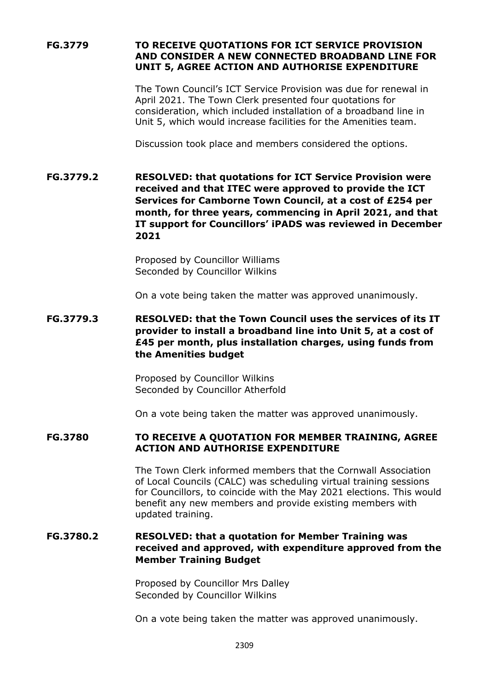# **FG.3779 TO RECEIVE QUOTATIONS FOR ICT SERVICE PROVISION AND CONSIDER A NEW CONNECTED BROADBAND LINE FOR UNIT 5, AGREE ACTION AND AUTHORISE EXPENDITURE**

The Town Council's ICT Service Provision was due for renewal in April 2021. The Town Clerk presented four quotations for consideration, which included installation of a broadband line in Unit 5, which would increase facilities for the Amenities team.

Discussion took place and members considered the options.

**FG.3779.2 RESOLVED: that quotations for ICT Service Provision were received and that ITEC were approved to provide the ICT Services for Camborne Town Council, at a cost of £254 per month, for three years, commencing in April 2021, and that IT support for Councillors' iPADS was reviewed in December 2021**

> Proposed by Councillor Williams Seconded by Councillor Wilkins

On a vote being taken the matter was approved unanimously.

**FG.3779.3 RESOLVED: that the Town Council uses the services of its IT provider to install a broadband line into Unit 5, at a cost of £45 per month, plus installation charges, using funds from the Amenities budget**

> Proposed by Councillor Wilkins Seconded by Councillor Atherfold

On a vote being taken the matter was approved unanimously.

## **FG.3780 TO RECEIVE A QUOTATION FOR MEMBER TRAINING, AGREE ACTION AND AUTHORISE EXPENDITURE**

The Town Clerk informed members that the Cornwall Association of Local Councils (CALC) was scheduling virtual training sessions for Councillors, to coincide with the May 2021 elections. This would benefit any new members and provide existing members with updated training.

# **FG.3780.2 RESOLVED: that a quotation for Member Training was received and approved, with expenditure approved from the Member Training Budget**

Proposed by Councillor Mrs Dalley Seconded by Councillor Wilkins